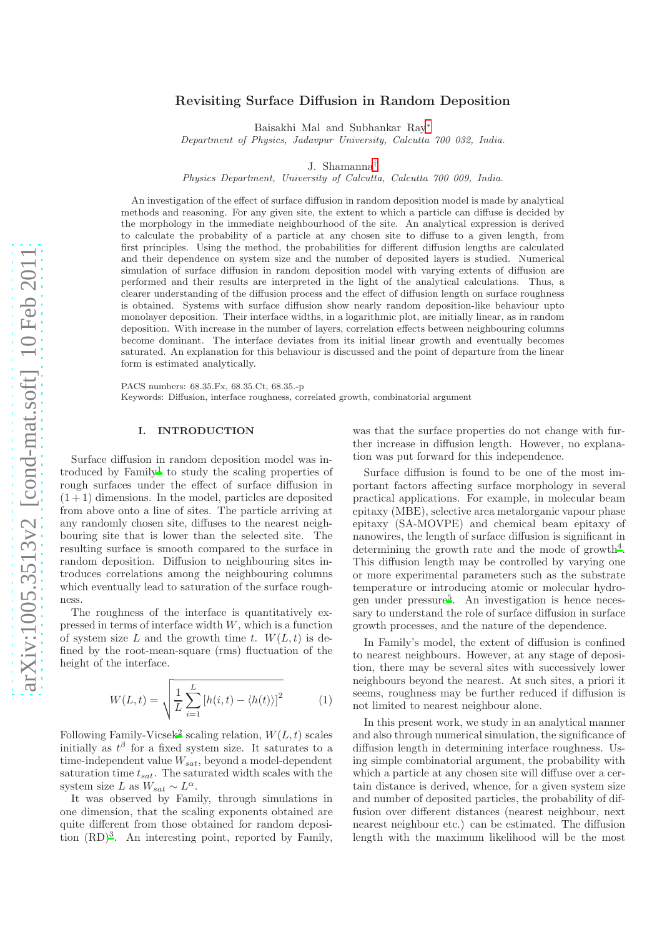# Revisiting Surface Diffusion in Random Deposition

Baisakhi Mal and Subhankar Ray[∗](#page-5-0)

Department of Physics, Jadavpur University, Calcutta 700 032, India.

J. Shamanna[†](#page-5-1)

Physics Department, University of Calcutta, Calcutta 700 009, India.

An investigation of the effect of surface diffusion in random deposition model is made by analytical methods and reasoning. For any given site, the extent to which a particle can diffuse is decided by the morphology in the immediate neighbourhood of the site. An analytical expression is derived to calculate the probability of a particle at any chosen site to diffuse to a given length, from first principles. Using the method, the probabilities for different diffusion lengths are calculated and their dependence on system size and the number of deposited layers is studied. Numerical simulation of surface diffusion in random deposition model with varying extents of diffusion are performed and their results are interpreted in the light of the analytical calculations. Thus, a clearer understanding of the diffusion process and the effect of diffusion length on surface roughness is obtained. Systems with surface diffusion show nearly random deposition-like behaviour upto monolayer deposition. Their interface widths, in a logarithmic plot, are initially linear, as in random deposition. With increase in the number of layers, correlation effects between neighbouring columns become dominant. The interface deviates from its initial linear growth and eventually becomes saturated. An explanation for this behaviour is discussed and the point of departure from the linear form is estimated analytically.

PACS numbers: 68.35.Fx, 68.35.Ct, 68.35.-p Keywords: Diffusion, interface roughness, correlated growth, combinatorial argument

## I. INTRODUCTION

Surface diffusion in random deposition model was in-troduced by Family<sup>[1](#page-5-2)</sup> to study the scaling properties of rough surfaces under the effect of surface diffusion in  $(1 + 1)$  dimensions. In the model, particles are deposited from above onto a line of sites. The particle arriving at any randomly chosen site, diffuses to the nearest neighbouring site that is lower than the selected site. The resulting surface is smooth compared to the surface in random deposition. Diffusion to neighbouring sites introduces correlations among the neighbouring columns which eventually lead to saturation of the surface roughness.

The roughness of the interface is quantitatively expressed in terms of interface width  $W$ , which is a function of system size L and the growth time t.  $W(L, t)$  is defined by the root-mean-square (rms) fluctuation of the height of the interface.

$$
W(L,t) = \sqrt{\frac{1}{L} \sum_{i=1}^{L} \left[ h(i,t) - \langle h(t) \rangle \right]^2}
$$
 (1)

Following Family-Vicsek<sup>[2](#page-5-3)</sup> scaling relation,  $W(L, t)$  scales initially as  $t^{\beta}$  for a fixed system size. It saturates to a time-independent value  $W_{sat}$ , beyond a model-dependent saturation time  $t_{sat}$ . The saturated width scales with the system size L as  $W_{sat} \sim L^{\alpha}$ .

It was observed by Family, through simulations in one dimension, that the scaling exponents obtained are quite different from those obtained for random deposition  $(RD)^3$  $(RD)^3$ . An interesting point, reported by Family, was that the surface properties do not change with further increase in diffusion length. However, no explanation was put forward for this independence.

Surface diffusion is found to be one of the most important factors affecting surface morphology in several practical applications. For example, in molecular beam epitaxy (MBE), selective area metalorganic vapour phase epitaxy (SA-MOVPE) and chemical beam epitaxy of nanowires, the length of surface diffusion is significant in determining the growth rate and the mode of growth<sup>[4](#page-5-5)</sup>. This diffusion length may be controlled by varying one or more experimental parameters such as the substrate temperature or introducing atomic or molecular hydro-gen under pressure<sup>[5](#page-5-6)</sup>. An investigation is hence necessary to understand the role of surface diffusion in surface growth processes, and the nature of the dependence.

In Family's model, the extent of diffusion is confined to nearest neighbours. However, at any stage of deposition, there may be several sites with successively lower neighbours beyond the nearest. At such sites, a priori it seems, roughness may be further reduced if diffusion is not limited to nearest neighbour alone.

In this present work, we study in an analytical manner and also through numerical simulation, the significance of diffusion length in determining interface roughness. Using simple combinatorial argument, the probability with which a particle at any chosen site will diffuse over a certain distance is derived, whence, for a given system size and number of deposited particles, the probability of diffusion over different distances (nearest neighbour, next nearest neighbour etc.) can be estimated. The diffusion length with the maximum likelihood will be the most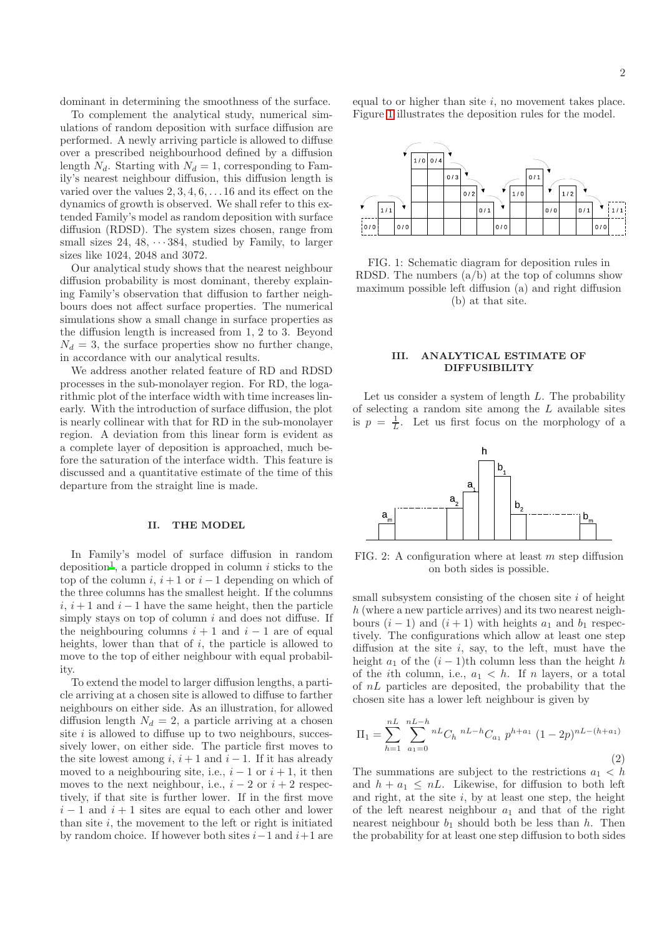dominant in determining the smoothness of the surface.

To complement the analytical study, numerical simulations of random deposition with surface diffusion are performed. A newly arriving particle is allowed to diffuse over a prescribed neighbourhood defined by a diffusion length  $N_d$ . Starting with  $N_d = 1$ , corresponding to Family's nearest neighbour diffusion, this diffusion length is varied over the values  $2, 3, 4, 6, \ldots 16$  and its effect on the dynamics of growth is observed. We shall refer to this extended Family's model as random deposition with surface diffusion (RDSD). The system sizes chosen, range from small sizes 24, 48,  $\cdots$  384, studied by Family, to larger sizes like 1024, 2048 and 3072.

Our analytical study shows that the nearest neighbour diffusion probability is most dominant, thereby explaining Family's observation that diffusion to farther neighbours does not affect surface properties. The numerical simulations show a small change in surface properties as the diffusion length is increased from 1, 2 to 3. Beyond  $N_d = 3$ , the surface properties show no further change, in accordance with our analytical results.

We address another related feature of RD and RDSD processes in the sub-monolayer region. For RD, the logarithmic plot of the interface width with time increases linearly. With the introduction of surface diffusion, the plot is nearly collinear with that for RD in the sub-monolayer region. A deviation from this linear form is evident as a complete layer of deposition is approached, much before the saturation of the interface width. This feature is discussed and a quantitative estimate of the time of this departure from the straight line is made.

### II. THE MODEL

In Family's model of surface diffusion in random deposition<sup>[1](#page-5-2)</sup>, a particle dropped in column  $i$  sticks to the top of the column i,  $i + 1$  or  $i - 1$  depending on which of the three columns has the smallest height. If the columns i,  $i + 1$  and  $i - 1$  have the same height, then the particle simply stays on top of column  $i$  and does not diffuse. If the neighbouring columns  $i + 1$  and  $i - 1$  are of equal heights, lower than that of  $i$ , the particle is allowed to move to the top of either neighbour with equal probability.

To extend the model to larger diffusion lengths, a particle arriving at a chosen site is allowed to diffuse to farther neighbours on either side. As an illustration, for allowed diffusion length  $N_d = 2$ , a particle arriving at a chosen site  $i$  is allowed to diffuse up to two neighbours, successively lower, on either side. The particle first moves to the site lowest among  $i, i+1$  and  $i-1$ . If it has already moved to a neighbouring site, i.e.,  $i - 1$  or  $i + 1$ , it then moves to the next neighbour, i.e.,  $i - 2$  or  $i + 2$  respectively, if that site is further lower. If in the first move  $i - 1$  and  $i + 1$  sites are equal to each other and lower than site  $i$ , the movement to the left or right is initiated by random choice. If however both sites  $i-1$  and  $i+1$  are equal to or higher than site  $i$ , no movement takes place. Figure [1](#page-1-0) illustrates the deposition rules for the model.



<span id="page-1-0"></span>FIG. 1: Schematic diagram for deposition rules in RDSD. The numbers  $(a/b)$  at the top of columns show maximum possible left diffusion (a) and right diffusion (b) at that site.

#### III. ANALYTICAL ESTIMATE OF DIFFUSIBILITY

Let us consider a system of length  $L$ . The probability of selecting a random site among the  $L$  available sites is  $p = \frac{1}{L}$ . Let us first focus on the morphology of a



<span id="page-1-1"></span>FIG. 2: A configuration where at least  $m$  step diffusion on both sides is possible.

small subsystem consisting of the chosen site  $i$  of height h (where a new particle arrives) and its two nearest neighbours  $(i - 1)$  and  $(i + 1)$  with heights  $a_1$  and  $b_1$  respectively. The configurations which allow at least one step diffusion at the site  $i$ , say, to the left, must have the height  $a_1$  of the  $(i - 1)$ th column less than the height h of the *i*th column, i.e.,  $a_1 < h$ . If *n* layers, or a total of  $nL$  particles are deposited, the probability that the chosen site has a lower left neighbour is given by

<span id="page-1-2"></span>
$$
\Pi_1 = \sum_{h=1}^{nL} \sum_{a_1=0}^{nL-h} {^{nL-h}C_h} {^{nL-h}C_{a_1}} p^{h+a_1} (1-2p)^{nL-(h+a_1)}
$$
\n(2)

The summations are subject to the restrictions  $a_1 < h$ and  $h + a_1 \leq nL$ . Likewise, for diffusion to both left and right, at the site  $i$ , by at least one step, the height of the left nearest neighbour  $a_1$  and that of the right nearest neighbour  $b_1$  should both be less than h. Then the probability for at least one step diffusion to both sides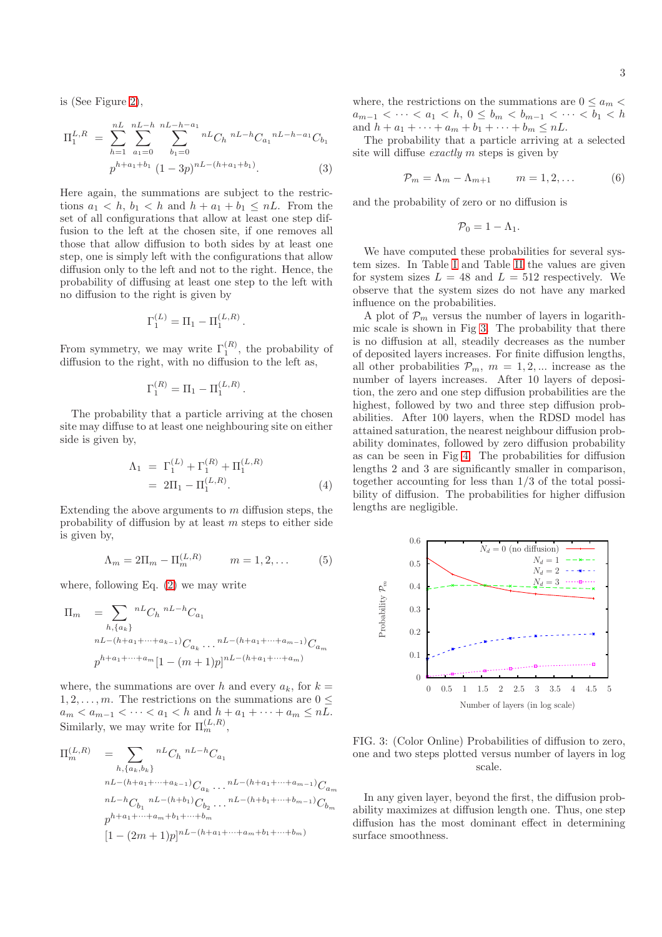is (See Figure [2\)](#page-1-1),

$$
\Pi_1^{L,R} = \sum_{h=1}^{nL} \sum_{a_1=0}^{nL-h} \sum_{b_1=0}^{nL-h-a_1} {}^{nL}C_h {}^{nL-h}C_{a_1} {}^{nL-h-a_1}C_{b_1}
$$

$$
p^{h+a_1+b_1} (1-3p)^{nL-(h+a_1+b_1)}.
$$
 (3)

Here again, the summations are subject to the restrictions  $a_1 < h$ ,  $b_1 < h$  and  $h + a_1 + b_1 \leq nL$ . From the set of all configurations that allow at least one step diffusion to the left at the chosen site, if one removes all those that allow diffusion to both sides by at least one step, one is simply left with the configurations that allow diffusion only to the left and not to the right. Hence, the probability of diffusing at least one step to the left with no diffusion to the right is given by

$$
\Gamma_1^{(L)} = \Pi_1 - \Pi_1^{(L,R)}.
$$

From symmetry, we may write  $\Gamma_1^{(R)}$ , the probability of diffusion to the right, with no diffusion to the left as,

$$
\Gamma_1^{(R)} = \Pi_1 - \Pi_1^{(L,R)}
$$

The probability that a particle arriving at the chosen site may diffuse to at least one neighbouring site on either side is given by,

$$
\Lambda_1 = \Gamma_1^{(L)} + \Gamma_1^{(R)} + \Pi_1^{(L,R)} \n= 2\Pi_1 - \Pi_1^{(L,R)}.
$$
\n(4)

.

Extending the above arguments to  $m$  diffusion steps, the probability of diffusion by at least  $m$  steps to either side is given by,

$$
\Lambda_m = 2\Pi_m - \Pi_m^{(L,R)} \qquad m = 1, 2, \dots \qquad (5)
$$

where, following Eq.  $(2)$  we may write

$$
\Pi_m = \sum_{h, \{a_k\}} {}^{nL}C_h {}^{nL-h}C_{a_1}
$$
  
\n
$$
{}^{nL-(h+a_1+\cdots+a_{k-1})}C_{a_k} \cdots {}^{nL-(h+a_1+\cdots+a_{m-1})}C_{a_m}
$$
  
\n
$$
p^{h+a_1+\cdots+a_m}[1-(m+1)p]^{nL-(h+a_1+\cdots+a_m)}
$$

where, the summations are over h and every  $a_k$ , for  $k =$  $1, 2, \ldots, m$ . The restrictions on the summations are  $0 \leq$  $a_m < a_{m-1} < \cdots < a_1 < h$  and  $h + a_1 + \cdots + a_m \leq nL$ . Similarly, we may write for  $\Pi_m^{(L,R)}$ ,

$$
\Pi_{m}^{(L,R)} = \sum_{h, \{a_k, b_k\}} {}^{nL}C_h {}^{nL-h}C_{a_1}
$$
\n
$$
{}^{nL-(h+a_1+\cdots+a_{k-1})}C_{a_k} \cdots {}^{nL-(h+a_1+\cdots+a_{m-1})}C_{a_m}
$$
\n
$$
{}^{nL-h}C_{b_1} {}^{nL-(h+b_1)}C_{b_2} \cdots {}^{nL-(h+b_1+\cdots+b_{m-1})}C_{b_m}
$$
\n
$$
p^{h+a_1+\cdots+a_m+b_1+\cdots+b_m}
$$
\n
$$
[1-(2m+1)p]^{nL-(h+a_1+\cdots+a_m+b_1+\cdots+b_m)}
$$

where, the restrictions on the summations are  $0 \le a_m$  $a_{m-1} < \cdots < a_1 < h, 0 \leq b_m < b_{m-1} < \cdots < b_1 < h$ and  $h + a_1 + \cdots + a_m + b_1 + \cdots + b_m \leq nL$ .

The probability that a particle arriving at a selected site will diffuse exactly m steps is given by

<span id="page-2-1"></span>
$$
\mathcal{P}_m = \Lambda_m - \Lambda_{m+1} \qquad m = 1, 2, \dots \tag{6}
$$

and the probability of zero or no diffusion is

$$
\mathcal{P}_0=1-\Lambda_1.
$$

We have computed these probabilities for several system sizes. In Table [I](#page-3-0) and Table [II](#page-3-1) the values are given for system sizes  $L = 48$  and  $L = 512$  respectively. We observe that the system sizes do not have any marked influence on the probabilities.

A plot of  $P_m$  versus the number of layers in logarithmic scale is shown in Fig [3.](#page-2-0) The probability that there is no diffusion at all, steadily decreases as the number of deposited layers increases. For finite diffusion lengths, all other probabilities  $\mathcal{P}_m$ ,  $m = 1, 2, ...$  increase as the number of layers increases. After 10 layers of deposition, the zero and one step diffusion probabilities are the highest, followed by two and three step diffusion probabilities. After 100 layers, when the RDSD model has attained saturation, the nearest neighbour diffusion probability dominates, followed by zero diffusion probability as can be seen in Fig [4.](#page-3-2) The probabilities for diffusion lengths 2 and 3 are significantly smaller in comparison, together accounting for less than 1/3 of the total possibility of diffusion. The probabilities for higher diffusion lengths are negligible.



<span id="page-2-0"></span>FIG. 3: (Color Online) Probabilities of diffusion to zero, one and two steps plotted versus number of layers in log scale.

In any given layer, beyond the first, the diffusion probability maximizes at diffusion length one. Thus, one step diffusion has the most dominant effect in determining surface smoothness.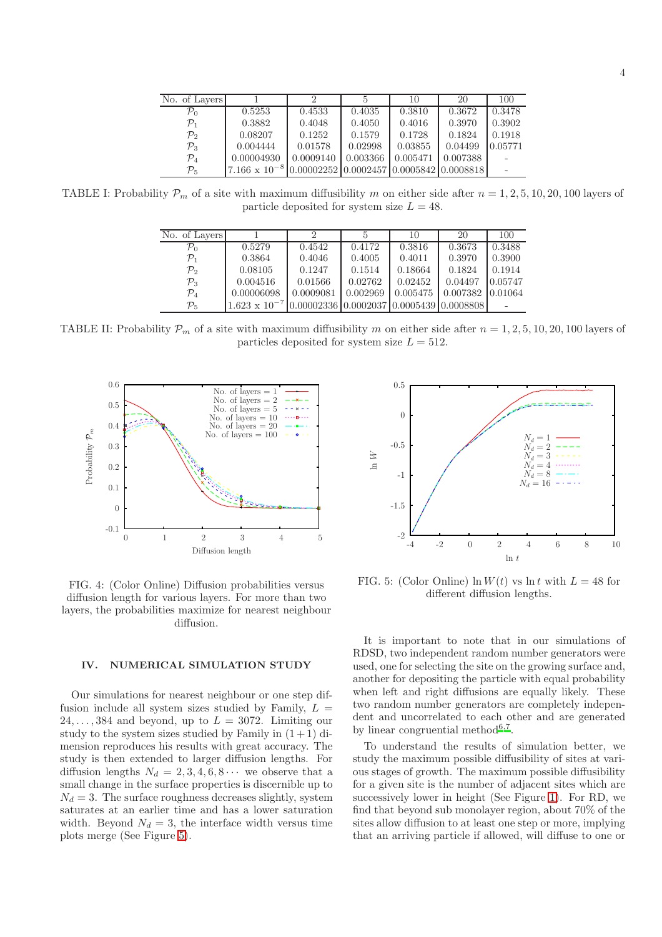| No. of Layers   |                        |                                                  |          | 10       | 20       | 100     |
|-----------------|------------------------|--------------------------------------------------|----------|----------|----------|---------|
| $\mathcal{P}_0$ | 0.5253                 | 0.4533                                           | 0.4035   | 0.3810   | 0.3672   | 0.3478  |
| $\mathcal{P}_1$ | 0.3882                 | 0.4048                                           | 0.4050   | 0.4016   | 0.3970   | 0.3902  |
| $\mathcal{P}_2$ | 0.08207                | 0.1252                                           | 0.1579   | 0.1728   | 0.1824   | 0.1918  |
| $\mathcal{P}_3$ | 0.004444               | 0.01578                                          | 0.02998  | 0.03855  | 0.04499  | 0.05771 |
| $\mathcal{P}_4$ | 0.00004930             | 0.0009140                                        | 0.003366 | 0.005471 | 0.007388 |         |
| $\mathcal{P}_5$ | $7.166 \times 10^{-8}$ | $0.00002252   0.0002457   0.0005842   0.0008818$ |          |          |          |         |

TABLE I: Probability  $\mathcal{P}_m$  of a site with maximum diffusibility m on either side after  $n = 1, 2, 5, 10, 20, 100$  layers of particle deposited for system size  $L = 48$ .

<span id="page-3-0"></span>

| No. of Layers   |                        |                                            |          | 10       | 20       | 100     |
|-----------------|------------------------|--------------------------------------------|----------|----------|----------|---------|
| $\mathcal{P}_0$ | 0.5279                 | 0.4542                                     | 0.4172   | 0.3816   | 0.3673   | 0.3488  |
| $\mathcal{P}_1$ | 0.3864                 | 0.4046                                     | 0.4005   | 0.4011   | 0.3970   | 0.3900  |
| $\mathcal{P}_2$ | 0.08105                | 0.1247                                     | 0.1514   | 0.18664  | 0.1824   | 0.1914  |
| $\mathcal{P}_3$ | 0.004516               | 0.01566                                    | 0.02762  | 0.02452  | 0.04497  | 0.05747 |
| $\mathcal{P}_4$ | 0.00006098             | 0.0009081                                  | 0.002969 | 0.005475 | 0.007382 | 0.01064 |
| $\mathcal{P}_5$ | $1.623 \times 10^{-7}$ | $0.00002336$ 0.0002037 0.0005439 0.0008808 |          |          |          |         |

<span id="page-3-1"></span>TABLE II: Probability  $\mathcal{P}_m$  of a site with maximum diffusibility m on either side after  $n = 1, 2, 5, 10, 20, 100$  layers of particles deposited for system size  $L = 512$ .



<span id="page-3-2"></span>FIG. 4: (Color Online) Diffusion probabilities versus diffusion length for various layers. For more than two layers, the probabilities maximize for nearest neighbour diffusion.

## IV. NUMERICAL SIMULATION STUDY

Our simulations for nearest neighbour or one step diffusion include all system sizes studied by Family,  $L =$  $24, \ldots, 384$  and beyond, up to  $L = 3072$ . Limiting our study to the system sizes studied by Family in  $(1+1)$  dimension reproduces his results with great accuracy. The study is then extended to larger diffusion lengths. For diffusion lengths  $N_d = 2, 3, 4, 6, 8 \cdots$  we observe that a small change in the surface properties is discernible up to  $N_d = 3$ . The surface roughness decreases slightly, system saturates at an earlier time and has a lower saturation width. Beyond  $N_d = 3$ , the interface width versus time plots merge (See Figure [5\)](#page-3-3).



<span id="page-3-3"></span>FIG. 5: (Color Online)  $\ln W(t)$  vs  $\ln t$  with  $L = 48$  for different diffusion lengths.

It is important to note that in our simulations of RDSD, two independent random number generators were used, one for selecting the site on the growing surface and, another for depositing the particle with equal probability when left and right diffusions are equally likely. These two random number generators are completely independent and uncorrelated to each other and are generated by linear congruential metho[d](#page-5-7)<sup>6[,7](#page-5-8)</sup>.

To understand the results of simulation better, we study the maximum possible diffusibility of sites at various stages of growth. The maximum possible diffusibility for a given site is the number of adjacent sites which are successively lower in height (See Figure [1\)](#page-1-0). For RD, we find that beyond sub monolayer region, about 70% of the sites allow diffusion to at least one step or more, implying that an arriving particle if allowed, will diffuse to one or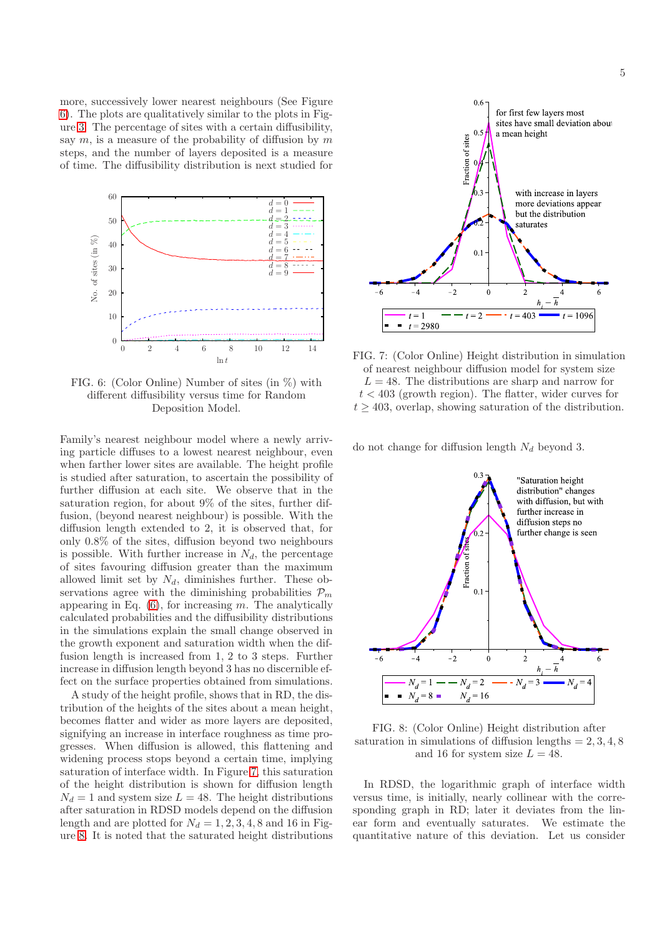more, successively lower nearest neighbours (See Figure [6\)](#page-4-0). The plots are qualitatively similar to the plots in Figure [3.](#page-2-0) The percentage of sites with a certain diffusibility, say  $m$ , is a measure of the probability of diffusion by  $m$ steps, and the number of layers deposited is a measure of time. The diffusibility distribution is next studied for



<span id="page-4-0"></span>FIG. 6: (Color Online) Number of sites (in %) with different diffusibility versus time for Random Deposition Model.

Family's nearest neighbour model where a newly arriving particle diffuses to a lowest nearest neighbour, even when farther lower sites are available. The height profile is studied after saturation, to ascertain the possibility of further diffusion at each site. We observe that in the saturation region, for about 9% of the sites, further diffusion, (beyond nearest neighbour) is possible. With the diffusion length extended to 2, it is observed that, for only 0.8% of the sites, diffusion beyond two neighbours is possible. With further increase in  $N_d$ , the percentage of sites favouring diffusion greater than the maximum allowed limit set by  $N_d$ , diminishes further. These observations agree with the diminishing probabilities  $\mathcal{P}_m$ appearing in Eq.  $(6)$ , for increasing m. The analytically calculated probabilities and the diffusibility distributions in the simulations explain the small change observed in the growth exponent and saturation width when the diffusion length is increased from 1, 2 to 3 steps. Further increase in diffusion length beyond 3 has no discernible effect on the surface properties obtained from simulations.

A study of the height profile, shows that in RD, the distribution of the heights of the sites about a mean height, becomes flatter and wider as more layers are deposited, signifying an increase in interface roughness as time progresses. When diffusion is allowed, this flattening and widening process stops beyond a certain time, implying saturation of interface width. In Figure [7,](#page-4-1) this saturation of the height distribution is shown for diffusion length  $N_d = 1$  and system size  $L = 48$ . The height distributions after saturation in RDSD models depend on the diffusion length and are plotted for  $N_d = 1, 2, 3, 4, 8$  and 16 in Figure [8.](#page-4-2) It is noted that the saturated height distributions



<span id="page-4-1"></span>FIG. 7: (Color Online) Height distribution in simulation of nearest neighbour diffusion model for system size  $L = 48$ . The distributions are sharp and narrow for  $t < 403$  (growth region). The flatter, wider curves for  $t \geq 403$ , overlap, showing saturation of the distribution.

do not change for diffusion length  $N_d$  beyond 3.



<span id="page-4-2"></span>FIG. 8: (Color Online) Height distribution after saturation in simulations of diffusion lengths  $= 2, 3, 4, 8$ and 16 for system size  $L = 48$ .

In RDSD, the logarithmic graph of interface width versus time, is initially, nearly collinear with the corresponding graph in RD; later it deviates from the linear form and eventually saturates. We estimate the quantitative nature of this deviation. Let us consider